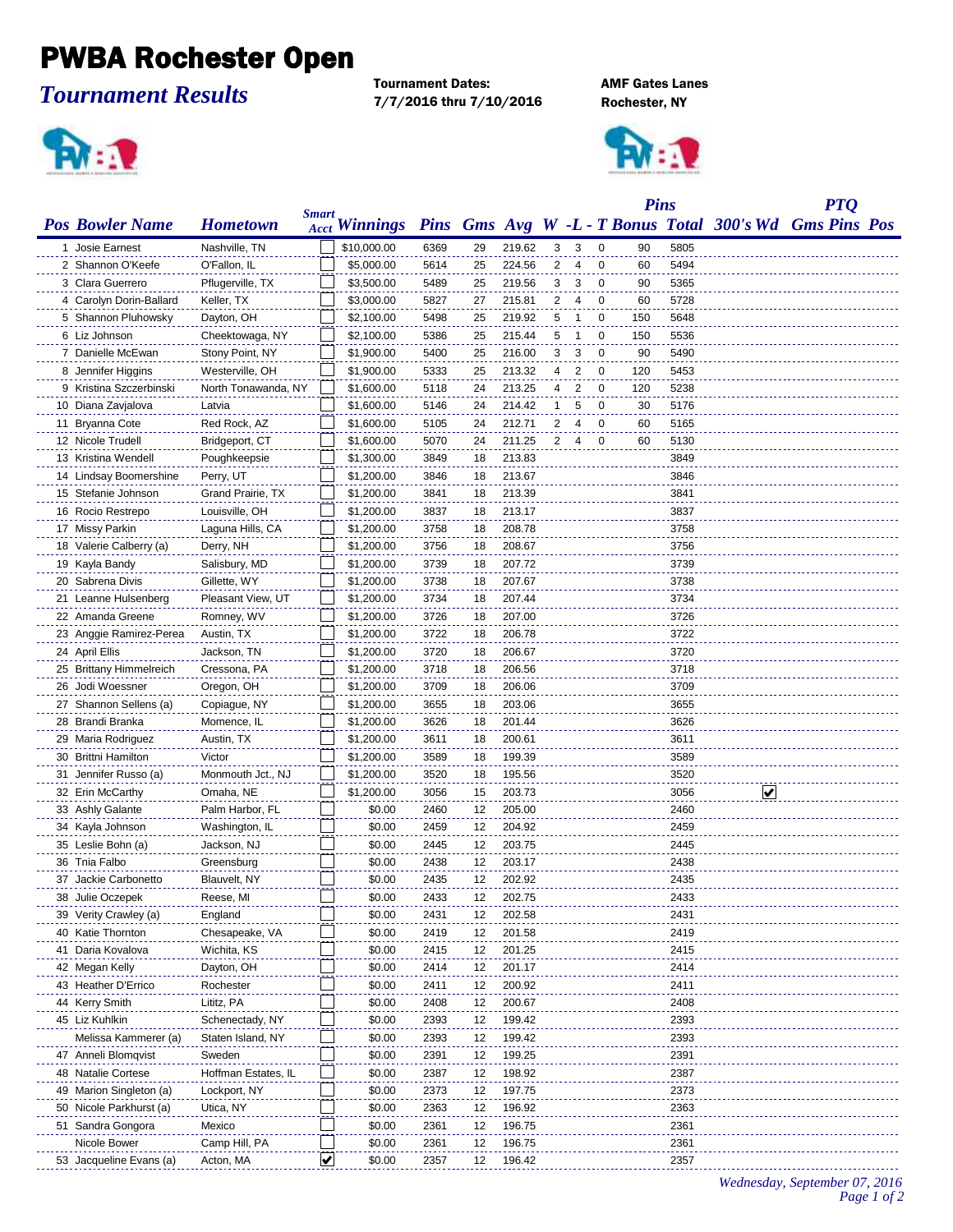## PWBA Rochester Open

## *Tournament Results*

Tournament Dates: AMF Gates Lanes 7/7/2016 thru 7/10/2016 Rochester, NY





|                         |                     |              |                      |      |    |        |   |                |                | <b>Pins</b> |      |   | <b>PTQ</b>                                              |  |
|-------------------------|---------------------|--------------|----------------------|------|----|--------|---|----------------|----------------|-------------|------|---|---------------------------------------------------------|--|
| <b>Pos Bowler Name</b>  | <b>Hometown</b>     | <b>Smart</b> | <b>Acct Winnings</b> |      |    |        |   |                |                |             |      |   | Pins Gms Avg W -L - T Bonus Total 300's Wd Gms Pins Pos |  |
| 1 Josie Earnest         | Nashville, TN       |              | \$10,000.00          | 6369 | 29 | 219.62 | 3 | 3              | 0              | 90          | 5805 |   |                                                         |  |
| 2 Shannon O'Keefe       | O'Fallon, IL        |              | \$5,000.00           | 5614 | 25 | 224.56 | 2 | $\overline{4}$ | $\mathbf 0$    | 60          | 5494 |   |                                                         |  |
| 3 Clara Guerrero        | Pflugerville, TX    |              | \$3,500.00           | 5489 | 25 | 219.56 | 3 | 3              | $\mathbf 0$    | 90          | 5365 |   |                                                         |  |
| 4 Carolyn Dorin-Ballard | Keller, TX          |              | \$3,000.00           | 5827 | 27 | 215.81 | 2 | $\overline{4}$ | 0              | 60          | 5728 |   |                                                         |  |
| 5 Shannon Pluhowsky     | Dayton, OH          |              | \$2,100.00           | 5498 | 25 | 219.92 | 5 | -1             | 0              | 150         | 5648 |   |                                                         |  |
| 6 Liz Johnson           | Cheektowaga, NY     |              | \$2,100.00           | 5386 | 25 | 215.44 | 5 | -1             | 0              | 150         | 5536 |   |                                                         |  |
| 7 Danielle McEwan       | Stony Point, NY     |              | \$1,900.00           | 5400 | 25 | 216.00 | 3 | 3              | 0              | 90          | 5490 |   |                                                         |  |
| 8 Jennifer Higgins      | Westerville, OH     |              | \$1,900.00           | 5333 | 25 | 213.32 | 4 | 2              | 0              | 120         | 5453 |   |                                                         |  |
| 9 Kristina Szczerbinski | North Tonawanda, NY |              | \$1,600.00           | 5118 | 24 | 213.25 | 4 | 2              | $\mathbf 0$    | 120         | 5238 |   |                                                         |  |
| 10 Diana Zavjalova      | Latvia              |              | \$1,600.00           | 5146 | 24 | 214.42 | 1 | 5              | 0              | 30          | 5176 |   |                                                         |  |
| 11 Bryanna Cote         | Red Rock, AZ        |              | \$1,600.00           | 5105 | 24 | 212.71 | 2 | 4              | $\mathbf 0$    | 60          | 5165 |   |                                                         |  |
| 12 Nicole Trudell       | Bridgeport, CT      |              | \$1,600.00           | 5070 | 24 | 211.25 | 2 | $\overline{4}$ | $\overline{0}$ | 60          | 5130 |   |                                                         |  |
| 13 Kristina Wendell     | Poughkeepsie        |              | \$1,300.00           | 3849 | 18 | 213.83 |   |                |                |             | 3849 |   |                                                         |  |
| 14 Lindsay Boomershine  | Perry, UT           |              | \$1,200.00           | 3846 | 18 | 213.67 |   |                |                |             | 3846 |   |                                                         |  |
| 15 Stefanie Johnson     | Grand Prairie, TX   |              | \$1,200.00           | 3841 | 18 | 213.39 |   |                |                |             | 3841 |   |                                                         |  |
| 16 Rocio Restrepo       | Louisville, OH      |              | \$1,200.00           | 3837 | 18 | 213.17 |   |                |                |             | 3837 |   |                                                         |  |
| 17 Missy Parkin         | Laguna Hills, CA    |              | \$1,200.00           | 3758 | 18 | 208.78 |   |                |                |             | 3758 |   |                                                         |  |
| 18 Valerie Calberry (a) | Derry, NH           |              | \$1,200.00           | 3756 | 18 | 208.67 |   |                |                |             | 3756 |   |                                                         |  |
| 19 Kayla Bandy          | Salisbury, MD       |              | \$1,200.00           | 3739 | 18 | 207.72 |   |                |                |             | 3739 |   |                                                         |  |
| 20 Sabrena Divis        | Gillette, WY        |              | \$1,200.00           | 3738 | 18 | 207.67 |   |                |                |             | 3738 |   |                                                         |  |
| 21 Leanne Hulsenberg    | Pleasant View, UT   |              | \$1,200.00           | 3734 | 18 | 207.44 |   |                |                |             | 3734 |   |                                                         |  |
| 22 Amanda Greene        | Romney, WV          |              | \$1,200.00           | 3726 | 18 | 207.00 |   |                |                |             | 3726 |   |                                                         |  |
| 23 Anggie Ramirez-Perea | Austin, TX          |              | \$1,200.00           | 3722 | 18 | 206.78 |   |                |                |             | 3722 |   |                                                         |  |
| 24 April Ellis          | Jackson, TN         |              | \$1,200.00           | 3720 | 18 | 206.67 |   |                |                |             | 3720 |   |                                                         |  |
| 25 Brittany Himmelreich | Cressona, PA        |              | \$1,200.00           | 3718 | 18 | 206.56 |   |                |                |             | 3718 |   |                                                         |  |
| 26 Jodi Woessner        | Oregon, OH          |              | \$1,200.00           | 3709 | 18 | 206.06 |   |                |                |             | 3709 |   |                                                         |  |
| 27 Shannon Sellens (a)  | Copiague, NY        |              | \$1,200.00           | 3655 | 18 | 203.06 |   |                |                |             | 3655 |   |                                                         |  |
| 28 Brandi Branka        | Momence, IL         |              | \$1,200.00           | 3626 | 18 | 201.44 |   |                |                |             | 3626 |   |                                                         |  |
| 29 Maria Rodriguez      | Austin, TX          |              | \$1,200.00           | 3611 | 18 | 200.61 |   |                |                |             | 3611 |   |                                                         |  |
| 30 Brittni Hamilton     | Victor              |              | \$1,200.00           | 3589 | 18 | 199.39 |   |                |                |             | 3589 |   |                                                         |  |
| 31 Jennifer Russo (a)   | Monmouth Jct., NJ   |              | \$1,200.00           | 3520 | 18 | 195.56 |   |                |                |             | 3520 |   |                                                         |  |
| 32 Erin McCarthy        | Omaha, NE           |              | \$1,200.00           | 3056 | 15 | 203.73 |   |                |                |             | 3056 | V |                                                         |  |
| 33 Ashly Galante        | Palm Harbor, FL     |              | \$0.00               | 2460 | 12 | 205.00 |   |                |                |             | 2460 |   |                                                         |  |
| 34 Kayla Johnson        | Washington, IL      |              | \$0.00               | 2459 | 12 | 204.92 |   |                |                |             | 2459 |   |                                                         |  |
| 35 Leslie Bohn (a)      | Jackson, NJ         |              | \$0.00               | 2445 | 12 | 203.75 |   |                |                |             | 2445 |   |                                                         |  |
| 36 Tnia Falbo           | Greensburg          |              | \$0.00               | 2438 | 12 | 203.17 |   |                |                |             | 2438 |   |                                                         |  |
| 37 Jackie Carbonetto    | Blauvelt, NY        |              | \$0.00               | 2435 | 12 | 202.92 |   |                |                |             | 2435 |   |                                                         |  |
| 38 Julie Oczepek        | Reese, MI           |              | \$0.00               | 2433 | 12 | 202.75 |   |                |                |             | 2433 |   |                                                         |  |
| 39 Verity Crawley (a)   | England             |              | \$0.00               | 2431 | 12 | 202.58 |   |                |                |             | 2431 |   |                                                         |  |
| 40 Katie Thornton       | Chesapeake, VA      |              | \$0.00               | 2419 | 12 | 201.58 |   |                |                |             | 2419 |   |                                                         |  |
| 41 Daria Kovalova       | Wichita, KS         |              | \$0.00               | 2415 | 12 | 201.25 |   |                |                |             | 2415 |   |                                                         |  |
| 42 Megan Kelly          | Dayton, OH          |              | \$0.00               | 2414 | 12 | 201.17 |   |                |                |             | 2414 |   |                                                         |  |
| 43 Heather D'Errico     | Rochester           |              | \$0.00               | 2411 | 12 | 200.92 |   |                |                |             | 2411 |   |                                                         |  |
| 44 Kerry Smith          | Lititz, PA          |              | \$0.00               | 2408 | 12 | 200.67 |   |                |                |             | 2408 |   |                                                         |  |
| 45 Liz Kuhlkin          | Schenectady, NY     |              | \$0.00               | 2393 | 12 | 199.42 |   |                |                |             | 2393 |   |                                                         |  |
| Melissa Kammerer (a)    | Staten Island, NY   |              | \$0.00               | 2393 | 12 | 199.42 |   |                |                |             | 2393 |   |                                                         |  |
| 47 Anneli Blomqvist     | Sweden              |              | \$0.00               | 2391 | 12 | 199.25 |   |                |                |             | 2391 |   |                                                         |  |
| 48 Natalie Cortese      | Hoffman Estates, IL |              | \$0.00               | 2387 | 12 | 198.92 |   |                |                |             | 2387 |   |                                                         |  |
| 49 Marion Singleton (a) | Lockport, NY        |              | \$0.00               | 2373 | 12 | 197.75 |   |                |                |             | 2373 |   |                                                         |  |
| 50 Nicole Parkhurst (a) | Utica, NY           |              | \$0.00               | 2363 | 12 | 196.92 |   |                |                |             | 2363 |   |                                                         |  |
| 51 Sandra Gongora       | Mexico              |              | \$0.00               | 2361 | 12 | 196.75 |   |                |                |             | 2361 |   |                                                         |  |
| Nicole Bower            | Camp Hill, PA       |              | \$0.00               | 2361 | 12 | 196.75 |   |                |                |             | 2361 |   |                                                         |  |
| 53 Jacqueline Evans (a) | Acton, MA           | ⊻            | \$0.00               | 2357 | 12 | 196.42 |   |                |                |             | 2357 |   |                                                         |  |
|                         |                     |              |                      |      |    |        |   |                |                |             |      |   |                                                         |  |